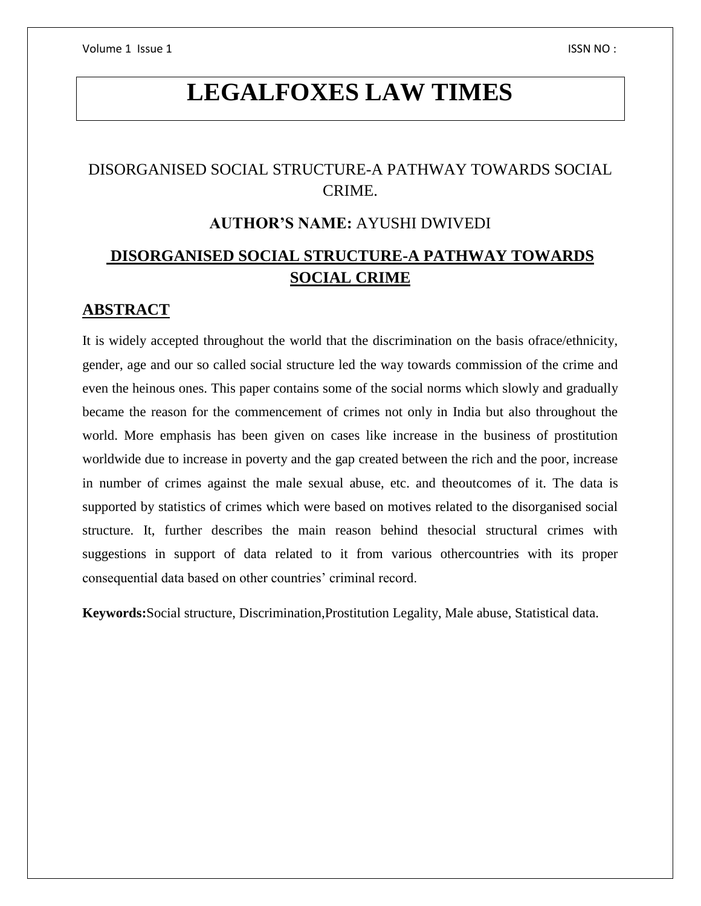# **LEGALFOXES LAW TIMES**

# DISORGANISED SOCIAL STRUCTURE-A PATHWAY TOWARDS SOCIAL CRIME.

# **AUTHOR'S NAME:** AYUSHI DWIVEDI

# **DISORGANISED SOCIAL STRUCTURE-A PATHWAY TOWARDS SOCIAL CRIME**

## **ABSTRACT**

It is widely accepted throughout the world that the discrimination on the basis ofrace/ethnicity, gender, age and our so called social structure led the way towards commission of the crime and even the heinous ones. This paper contains some of the social norms which slowly and gradually became the reason for the commencement of crimes not only in India but also throughout the world. More emphasis has been given on cases like increase in the business of prostitution worldwide due to increase in poverty and the gap created between the rich and the poor, increase in number of crimes against the male sexual abuse, etc. and theoutcomes of it. The data is supported by statistics of crimes which were based on motives related to the disorganised social structure. It, further describes the main reason behind thesocial structural crimes with suggestions in support of data related to it from various othercountries with its proper consequential data based on other countries' criminal record.

**Keywords:**Social structure, Discrimination,Prostitution Legality, Male abuse, Statistical data.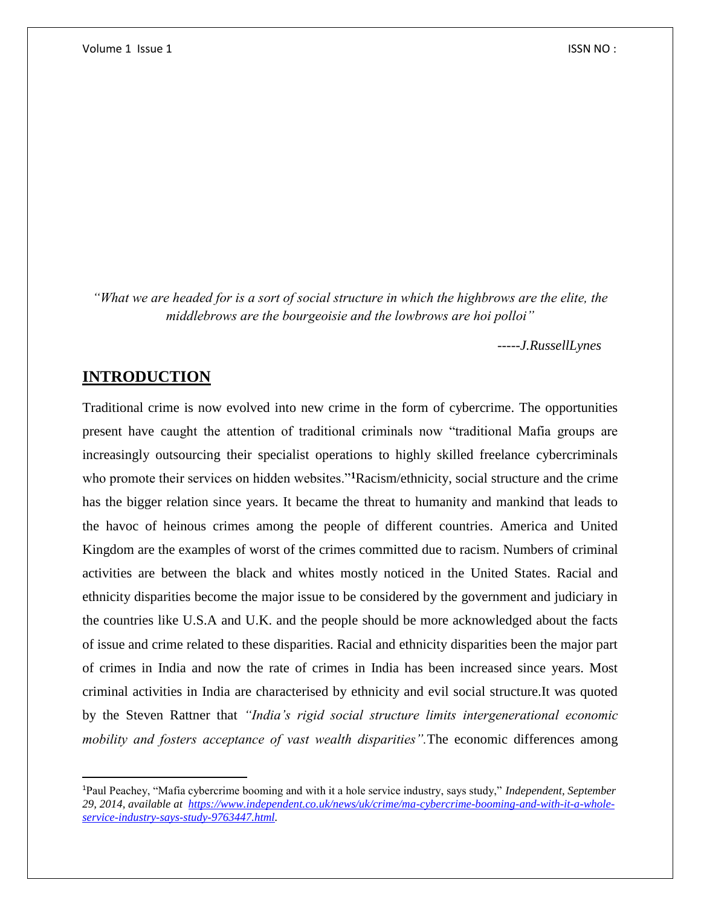*"What we are headed for is a sort of social structure in which the highbrows are the elite, the middlebrows are the bourgeoisie and the lowbrows are hoi polloi"*

 *-----J.RussellLynes*

## **INTRODUCTION**

 $\overline{\phantom{a}}$ 

Traditional crime is now evolved into new crime in the form of cybercrime. The opportunities present have caught the attention of traditional criminals now "traditional Mafia groups are increasingly outsourcing their specialist operations to highly skilled freelance cybercriminals who promote their services on hidden websites."**<sup>1</sup>**Racism/ethnicity, social structure and the crime has the bigger relation since years. It became the threat to humanity and mankind that leads to the havoc of heinous crimes among the people of different countries. America and United Kingdom are the examples of worst of the crimes committed due to racism. Numbers of criminal activities are between the black and whites mostly noticed in the United States. Racial and ethnicity disparities become the major issue to be considered by the government and judiciary in the countries like U.S.A and U.K. and the people should be more acknowledged about the facts of issue and crime related to these disparities. Racial and ethnicity disparities been the major part of crimes in India and now the rate of crimes in India has been increased since years. Most criminal activities in India are characterised by ethnicity and evil social structure.It was quoted by the Steven Rattner that *"India's rigid social structure limits intergenerational economic mobility and fosters acceptance of vast wealth disparities".*The economic differences among

<sup>1</sup>Paul Peachey, "Mafia cybercrime booming and with it a hole service industry, says study," *Independent, September 29, 2014, available at [https://www.independent.co.uk/news/uk/crime/ma-cybercrime-booming-and-with-it-a-whole](https://www.independent.co.uk/news/uk/crime/ma-cybercrime-booming-and-with-it-a-whole-service-industry-says-study-9763447.html)[service-industry-says-study-9763447.html.](https://www.independent.co.uk/news/uk/crime/ma-cybercrime-booming-and-with-it-a-whole-service-industry-says-study-9763447.html)*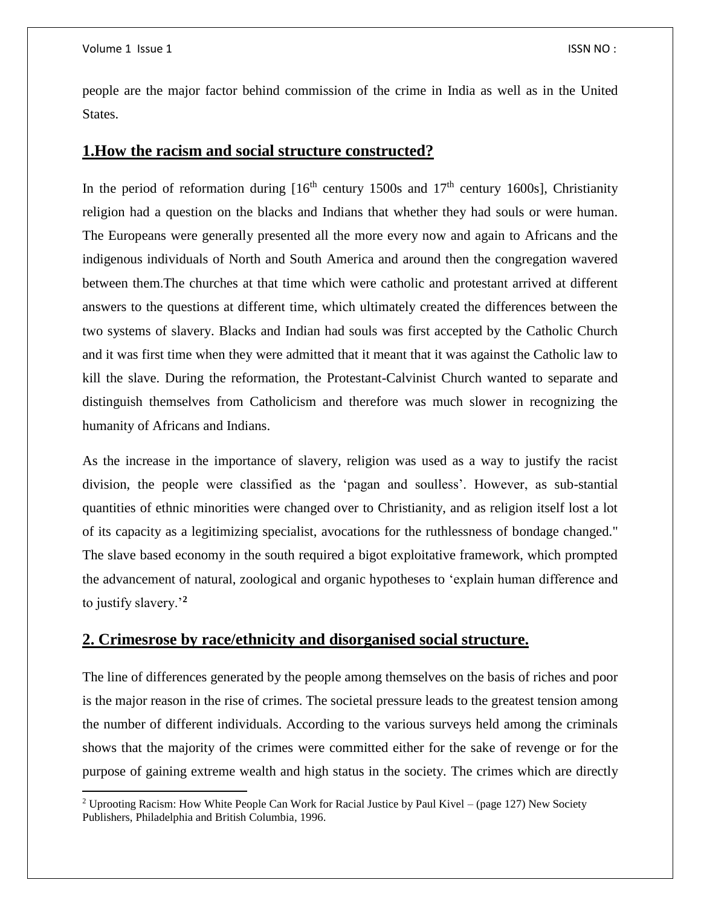$\overline{a}$ 

people are the major factor behind commission of the crime in India as well as in the United States.

#### **1.How the racism and social structure constructed?**

In the period of reformation during  $[16<sup>th</sup>$  century 1500s and 17<sup>th</sup> century 1600s], Christianity religion had a question on the blacks and Indians that whether they had souls or were human. The Europeans were generally presented all the more every now and again to Africans and the indigenous individuals of North and South America and around then the congregation wavered between them.The churches at that time which were catholic and protestant arrived at different answers to the questions at different time, which ultimately created the differences between the two systems of slavery. Blacks and Indian had souls was first accepted by the Catholic Church and it was first time when they were admitted that it meant that it was against the Catholic law to kill the slave. During the reformation, the Protestant-Calvinist Church wanted to separate and distinguish themselves from Catholicism and therefore was much slower in recognizing the humanity of Africans and Indians.

As the increase in the importance of slavery, religion was used as a way to justify the racist division, the people were classified as the 'pagan and soulless'. However, as sub-stantial quantities of ethnic minorities were changed over to Christianity, and as religion itself lost a lot of its capacity as a legitimizing specialist, avocations for the ruthlessness of bondage changed." The slave based economy in the south required a bigot exploitative framework, which prompted the advancement of natural, zoological and organic hypotheses to 'explain human difference and to justify slavery.'**<sup>2</sup>**

# **2. Crimesrose by race/ethnicity and disorganised social structure.**

The line of differences generated by the people among themselves on the basis of riches and poor is the major reason in the rise of crimes. The societal pressure leads to the greatest tension among the number of different individuals. According to the various surveys held among the criminals shows that the majority of the crimes were committed either for the sake of revenge or for the purpose of gaining extreme wealth and high status in the society. The crimes which are directly

<sup>2</sup> Uprooting Racism: How White People Can Work for Racial Justice by Paul Kivel – (page 127) New Society Publishers, Philadelphia and British Columbia, 1996.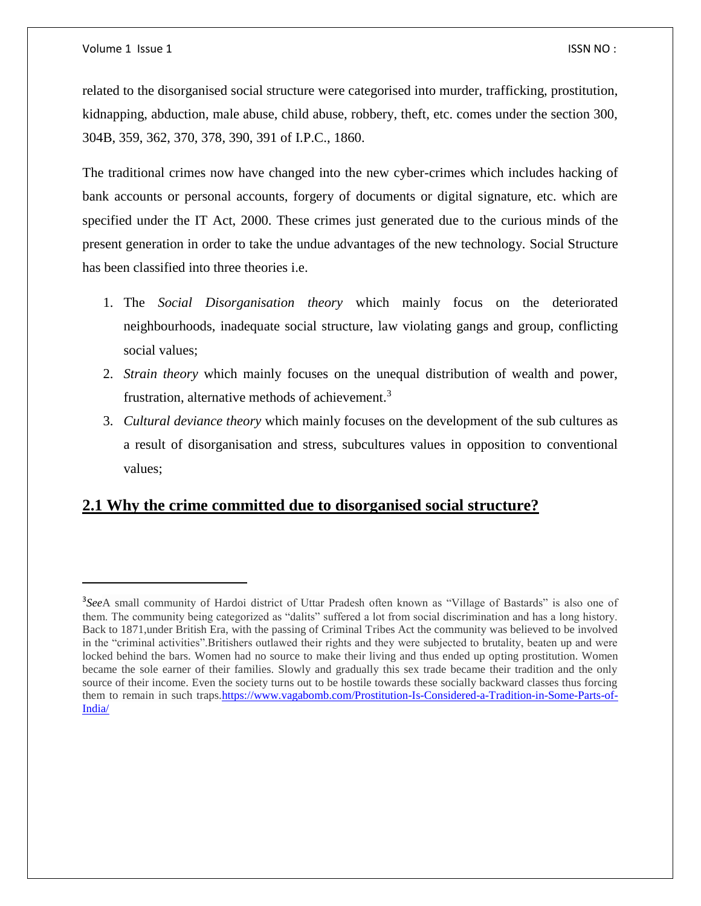l

related to the disorganised social structure were categorised into murder, trafficking, prostitution, kidnapping, abduction, male abuse, child abuse, robbery, theft, etc. comes under the section 300, 304B, 359, 362, 370, 378, 390, 391 of I.P.C., 1860.

The traditional crimes now have changed into the new cyber-crimes which includes hacking of bank accounts or personal accounts, forgery of documents or digital signature, etc. which are specified under the IT Act, 2000. These crimes just generated due to the curious minds of the present generation in order to take the undue advantages of the new technology. Social Structure has been classified into three theories i.e.

- 1. The *Social Disorganisation theory* which mainly focus on the deteriorated neighbourhoods, inadequate social structure, law violating gangs and group, conflicting social values;
- 2. *Strain theory* which mainly focuses on the unequal distribution of wealth and power, frustration, alternative methods of achievement.<sup>3</sup>
- 3. *Cultural deviance theory* which mainly focuses on the development of the sub cultures as a result of disorganisation and stress, subcultures values in opposition to conventional values;

# **2.1 Why the crime committed due to disorganised social structure?**

<sup>3</sup> *See*A small community of Hardoi district of Uttar Pradesh often known as "Village of Bastards" is also one of them. The community being categorized as "dalits" suffered a lot from social discrimination and has a long history. Back to 1871,under British Era, with the passing of Criminal Tribes Act the community was believed to be involved in the "criminal activities".Britishers outlawed their rights and they were subjected to brutality, beaten up and were locked behind the bars. Women had no source to make their living and thus ended up opting prostitution. Women became the sole earner of their families. Slowly and gradually this sex trade became their tradition and the only source of their income. Even the society turns out to be hostile towards these socially backward classes thus forcing them to remain in such traps[.https://www.vagabomb.com/Prostitution-Is-Considered-a-Tradition-in-Some-Parts-of-](https://www.vagabomb.com/Prostitution-Is-Considered-a-Tradition-in-Some-Parts-of-India/)[India/](https://www.vagabomb.com/Prostitution-Is-Considered-a-Tradition-in-Some-Parts-of-India/)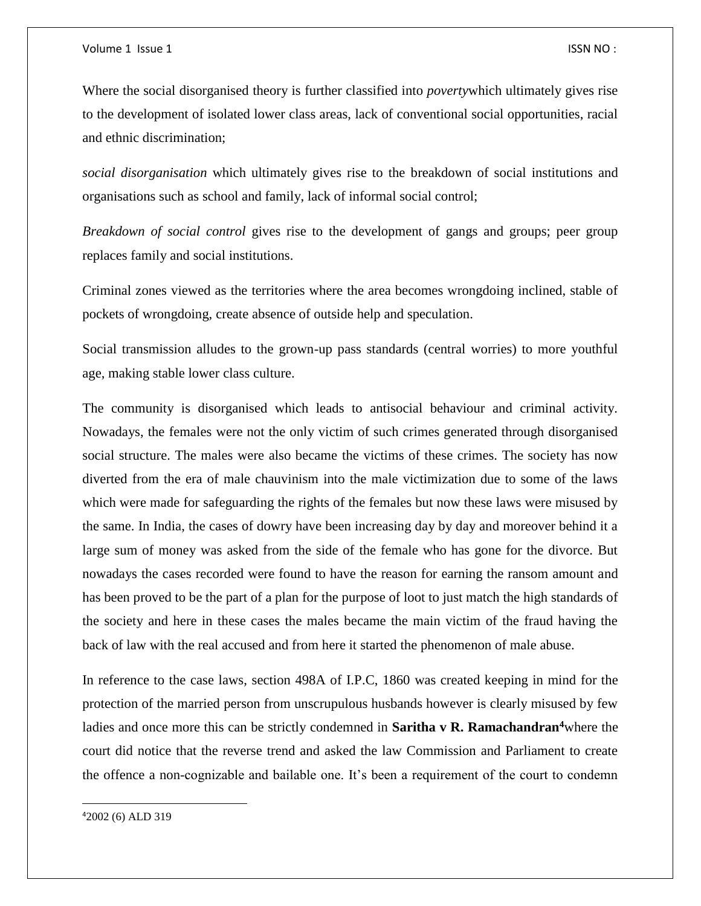Where the social disorganised theory is further classified into *poverty*which ultimately gives rise to the development of isolated lower class areas, lack of conventional social opportunities, racial and ethnic discrimination;

*social disorganisation* which ultimately gives rise to the breakdown of social institutions and organisations such as school and family, lack of informal social control;

*Breakdown of social control* gives rise to the development of gangs and groups; peer group replaces family and social institutions.

Criminal zones viewed as the territories where the area becomes wrongdoing inclined, stable of pockets of wrongdoing, create absence of outside help and speculation.

Social transmission alludes to the grown-up pass standards (central worries) to more youthful age, making stable lower class culture.

The community is disorganised which leads to antisocial behaviour and criminal activity. Nowadays, the females were not the only victim of such crimes generated through disorganised social structure. The males were also became the victims of these crimes. The society has now diverted from the era of male chauvinism into the male victimization due to some of the laws which were made for safeguarding the rights of the females but now these laws were misused by the same. In India, the cases of dowry have been increasing day by day and moreover behind it a large sum of money was asked from the side of the female who has gone for the divorce. But nowadays the cases recorded were found to have the reason for earning the ransom amount and has been proved to be the part of a plan for the purpose of loot to just match the high standards of the society and here in these cases the males became the main victim of the fraud having the back of law with the real accused and from here it started the phenomenon of male abuse.

In reference to the case laws, section 498A of I.P.C, 1860 was created keeping in mind for the protection of the married person from unscrupulous husbands however is clearly misused by few ladies and once more this can be strictly condemned in **Saritha v R. Ramachandran<sup>4</sup>**where the court did notice that the reverse trend and asked the law Commission and Parliament to create the offence a non-cognizable and bailable one. It's been a requirement of the court to condemn

42002 (6) ALD 319

 $\overline{\phantom{a}}$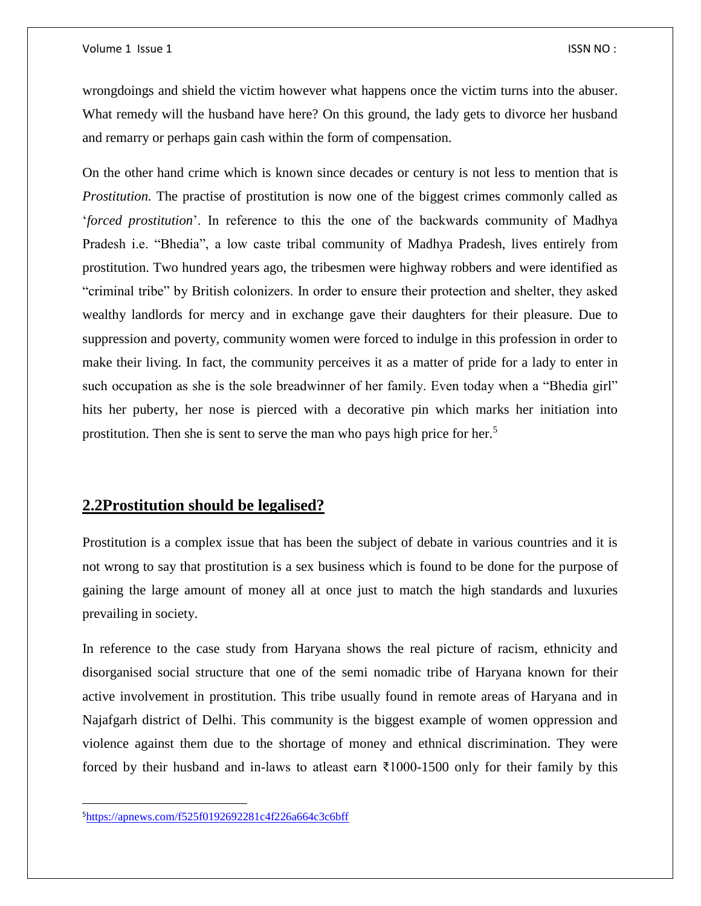wrongdoings and shield the victim however what happens once the victim turns into the abuser. What remedy will the husband have here? On this ground, the lady gets to divorce her husband and remarry or perhaps gain cash within the form of compensation.

On the other hand crime which is known since decades or century is not less to mention that is *Prostitution.* The practise of prostitution is now one of the biggest crimes commonly called as '*forced prostitution*'. In reference to this the one of the backwards community of Madhya Pradesh i.e. "Bhedia", a low caste tribal community of Madhya Pradesh, lives entirely from prostitution. Two hundred years ago, the tribesmen were highway robbers and were identified as "criminal tribe" by British colonizers. In order to ensure their protection and shelter, they asked wealthy landlords for mercy and in exchange gave their daughters for their pleasure. Due to suppression and poverty, community women were forced to indulge in this profession in order to make their living. In fact, the community perceives it as a matter of pride for a lady to enter in such occupation as she is the sole breadwinner of her family. Even today when a "Bhedia girl" hits her puberty, her nose is pierced with a decorative pin which marks her initiation into prostitution. Then she is sent to serve the man who pays high price for her.<sup>5</sup>

## **2.2Prostitution should be legalised?**

Prostitution is a complex issue that has been the subject of debate in various countries and it is not wrong to say that prostitution is a sex business which is found to be done for the purpose of gaining the large amount of money all at once just to match the high standards and luxuries prevailing in society.

In reference to the case study from Haryana shows the real picture of racism, ethnicity and disorganised social structure that one of the semi nomadic tribe of Haryana known for their active involvement in prostitution. This tribe usually found in remote areas of Haryana and in Najafgarh district of Delhi. This community is the biggest example of women oppression and violence against them due to the shortage of money and ethnical discrimination. They were forced by their husband and in-laws to atleast earn ₹1000-1500 only for their family by this

 $\overline{\phantom{a}}$ 

<sup>5</sup><https://apnews.com/f525f0192692281c4f226a664c3c6bff>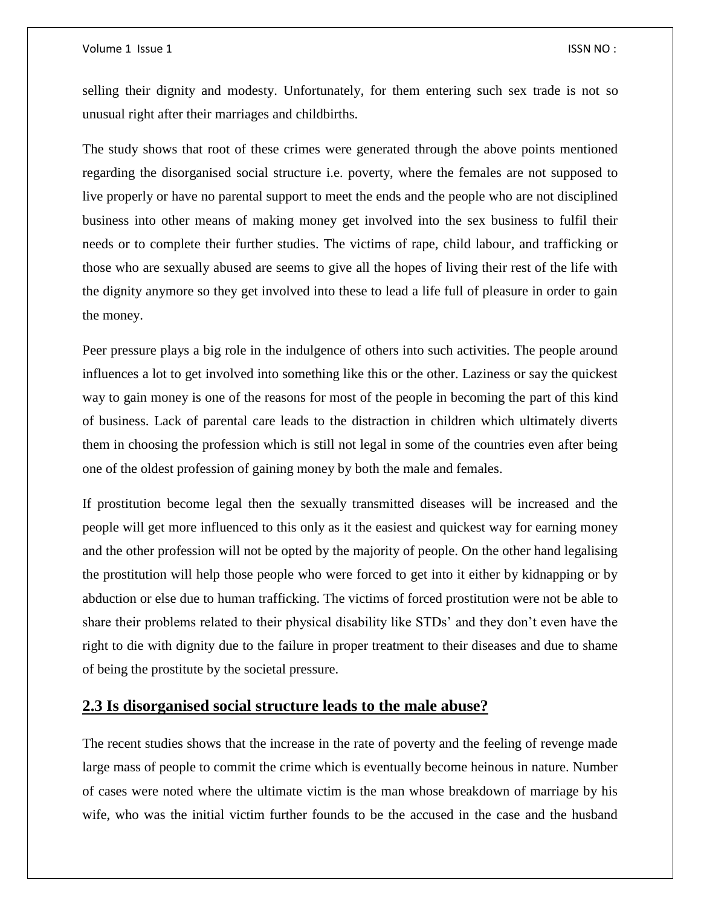#### Volume 1 Issue 1 **ISSN NO** :

selling their dignity and modesty. Unfortunately, for them entering such sex trade is not so unusual right after their marriages and childbirths.

The study shows that root of these crimes were generated through the above points mentioned regarding the disorganised social structure i.e. poverty, where the females are not supposed to live properly or have no parental support to meet the ends and the people who are not disciplined business into other means of making money get involved into the sex business to fulfil their needs or to complete their further studies. The victims of rape, child labour, and trafficking or those who are sexually abused are seems to give all the hopes of living their rest of the life with the dignity anymore so they get involved into these to lead a life full of pleasure in order to gain the money.

Peer pressure plays a big role in the indulgence of others into such activities. The people around influences a lot to get involved into something like this or the other. Laziness or say the quickest way to gain money is one of the reasons for most of the people in becoming the part of this kind of business. Lack of parental care leads to the distraction in children which ultimately diverts them in choosing the profession which is still not legal in some of the countries even after being one of the oldest profession of gaining money by both the male and females.

If prostitution become legal then the sexually transmitted diseases will be increased and the people will get more influenced to this only as it the easiest and quickest way for earning money and the other profession will not be opted by the majority of people. On the other hand legalising the prostitution will help those people who were forced to get into it either by kidnapping or by abduction or else due to human trafficking. The victims of forced prostitution were not be able to share their problems related to their physical disability like STDs' and they don't even have the right to die with dignity due to the failure in proper treatment to their diseases and due to shame of being the prostitute by the societal pressure.

#### **2.3 Is disorganised social structure leads to the male abuse?**

The recent studies shows that the increase in the rate of poverty and the feeling of revenge made large mass of people to commit the crime which is eventually become heinous in nature. Number of cases were noted where the ultimate victim is the man whose breakdown of marriage by his wife, who was the initial victim further founds to be the accused in the case and the husband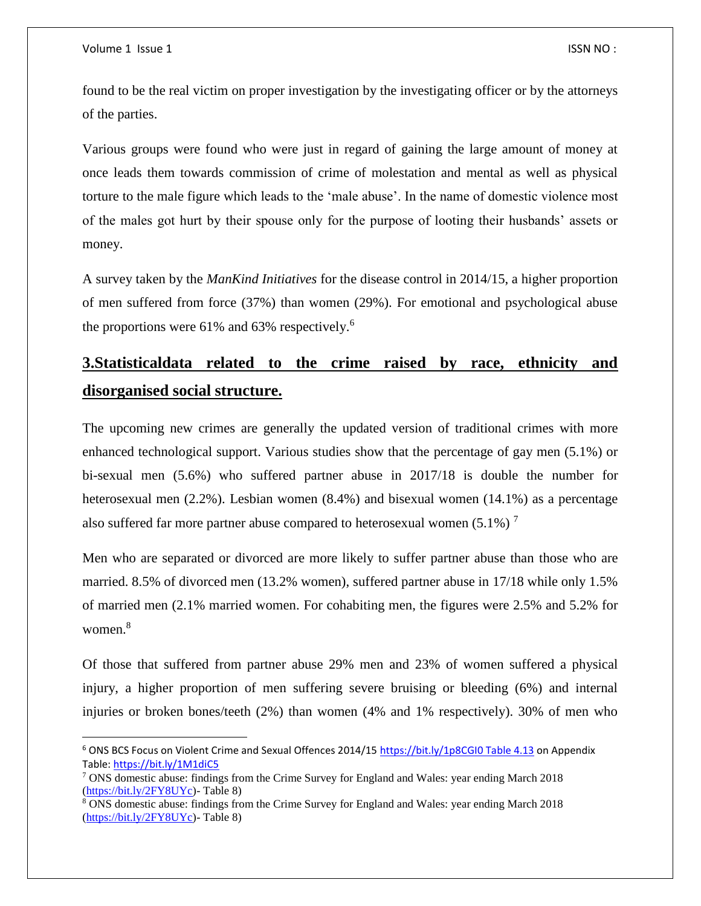$\overline{\phantom{a}}$ 

found to be the real victim on proper investigation by the investigating officer or by the attorneys of the parties.

Various groups were found who were just in regard of gaining the large amount of money at once leads them towards commission of crime of molestation and mental as well as physical torture to the male figure which leads to the 'male abuse'. In the name of domestic violence most of the males got hurt by their spouse only for the purpose of looting their husbands' assets or money.

A survey taken by the *ManKind Initiatives* for the disease control in 2014/15, a higher proportion of men suffered from force (37%) than women (29%). For emotional and psychological abuse the proportions were  $61\%$  and  $63\%$  respectively.<sup>6</sup>

# **3.Statisticaldata related to the crime raised by race, ethnicity and disorganised social structure.**

The upcoming new crimes are generally the updated version of traditional crimes with more enhanced technological support. Various studies show that the percentage of gay men (5.1%) or bi-sexual men (5.6%) who suffered partner abuse in 2017/18 is double the number for heterosexual men (2.2%). Lesbian women (8.4%) and bisexual women (14.1%) as a percentage also suffered far more partner abuse compared to heterosexual women  $(5.1\%)$ <sup>7</sup>

Men who are separated or divorced are more likely to suffer partner abuse than those who are married. 8.5% of divorced men (13.2% women), suffered partner abuse in 17/18 while only 1.5% of married men (2.1% married women. For cohabiting men, the figures were 2.5% and 5.2% for women.<sup>8</sup>

Of those that suffered from partner abuse 29% men and 23% of women suffered a physical injury, a higher proportion of men suffering severe bruising or bleeding (6%) and internal injuries or broken bones/teeth (2%) than women (4% and 1% respectively). 30% of men who

<sup>&</sup>lt;sup>6</sup> ONS BCS Focus on Violent Crime and Sexual Offences 2014/15 [https://bit.ly/1p8CGI0 Table 4.13](https://bit.ly/1p8CGI0%20Table%204.13) on Appendix Table:<https://bit.ly/1M1diC5>

<sup>7</sup> ONS domestic abuse: findings from the Crime Survey for England and Wales: year ending March 2018 [\(https://bit.ly/2FY8UYc\)](https://bit.ly/2FY8UYc)- Table 8)

<sup>8</sup> ONS domestic abuse: findings from the Crime Survey for England and Wales: year ending March 2018 [\(https://bit.ly/2FY8UYc\)](https://bit.ly/2FY8UYc)- Table 8)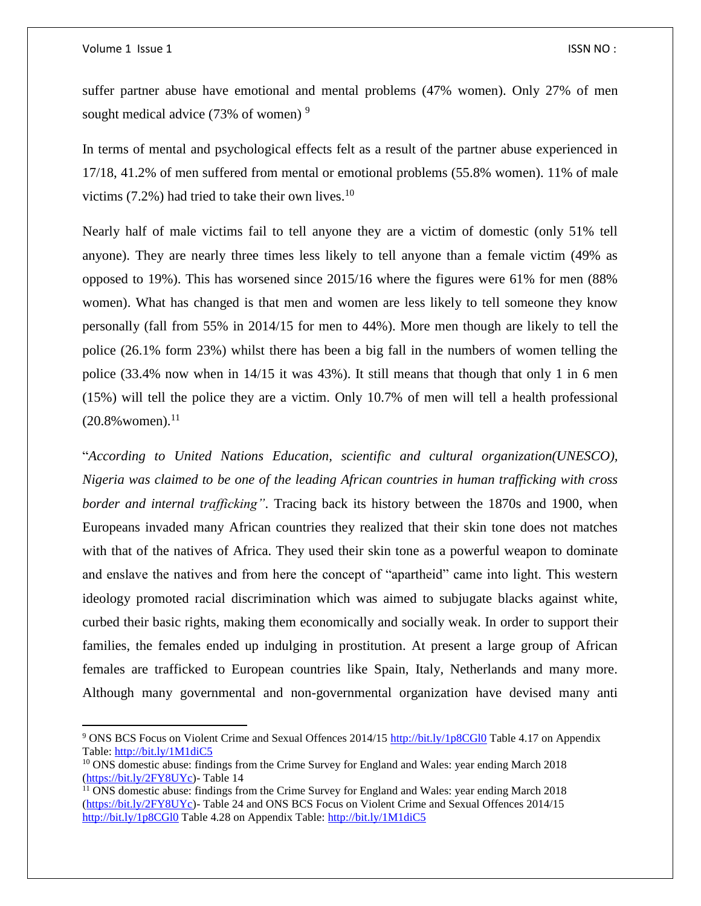$\overline{\phantom{a}}$ 

suffer partner abuse have emotional and mental problems (47% women). Only 27% of men sought medical advice  $(73\% \text{ of women})^9$ 

In terms of mental and psychological effects felt as a result of the partner abuse experienced in 17/18, 41.2% of men suffered from mental or emotional problems (55.8% women). 11% of male victims  $(7.2\%)$  had tried to take their own lives.<sup>10</sup>

Nearly half of male victims fail to tell anyone they are a victim of domestic (only 51% tell anyone). They are nearly three times less likely to tell anyone than a female victim (49% as opposed to 19%). This has worsened since 2015/16 where the figures were 61% for men (88% women). What has changed is that men and women are less likely to tell someone they know personally (fall from 55% in 2014/15 for men to 44%). More men though are likely to tell the police (26.1% form 23%) whilst there has been a big fall in the numbers of women telling the police (33.4% now when in 14/15 it was 43%). It still means that though that only 1 in 6 men (15%) will tell the police they are a victim. Only 10.7% of men will tell a health professional  $(20.8\%$  women).<sup>11</sup>

"*According to United Nations Education, scientific and cultural organization(UNESCO), Nigeria was claimed to be one of the leading African countries in human trafficking with cross border and internal trafficking"*. Tracing back its history between the 1870s and 1900, when Europeans invaded many African countries they realized that their skin tone does not matches with that of the natives of Africa. They used their skin tone as a powerful weapon to dominate and enslave the natives and from here the concept of "apartheid" came into light. This western ideology promoted racial discrimination which was aimed to subjugate blacks against white, curbed their basic rights, making them economically and socially weak. In order to support their families, the females ended up indulging in prostitution. At present a large group of African females are trafficked to European countries like Spain, Italy, Netherlands and many more. Although many governmental and non-governmental organization have devised many anti

<sup>9</sup> ONS BCS Focus on Violent Crime and Sexual Offences 2014/15<http://bit.ly/1p8CGl0> Table 4.17 on Appendix Table:<http://bit.ly/1M1diC5>

<sup>&</sup>lt;sup>10</sup> ONS domestic abuse: findings from the Crime Survey for England and Wales: year ending March 2018 [\(https://bit.ly/2FY8UYc\)](https://bit.ly/2FY8UYc)- Table 14

<sup>&</sup>lt;sup>11</sup> ONS domestic abuse: findings from the Crime Survey for England and Wales: year ending March 2018 [\(https://bit.ly/2FY8UYc\)](https://bit.ly/2FY8UYc)- Table 24 and ONS BCS Focus on Violent Crime and Sexual Offences 2014/15 <http://bit.ly/1p8CGl0> Table 4.28 on Appendix Table:<http://bit.ly/1M1diC5>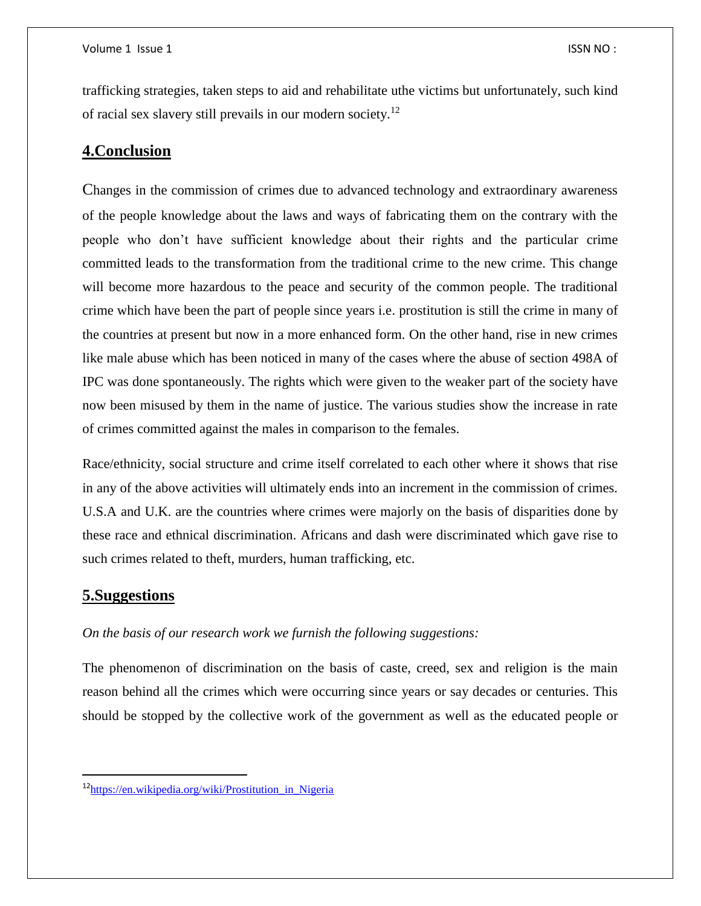trafficking strategies, taken steps to aid and rehabilitate uthe victims but unfortunately, such kind of racial sex slavery still prevails in our modern society.<sup>12</sup>

## **4.Conclusion**

Changes in the commission of crimes due to advanced technology and extraordinary awareness of the people knowledge about the laws and ways of fabricating them on the contrary with the people who don't have sufficient knowledge about their rights and the particular crime committed leads to the transformation from the traditional crime to the new crime. This change will become more hazardous to the peace and security of the common people. The traditional crime which have been the part of people since years i.e. prostitution is still the crime in many of the countries at present but now in a more enhanced form. On the other hand, rise in new crimes like male abuse which has been noticed in many of the cases where the abuse of section 498A of IPC was done spontaneously. The rights which were given to the weaker part of the society have now been misused by them in the name of justice. The various studies show the increase in rate of crimes committed against the males in comparison to the females.

Race/ethnicity, social structure and crime itself correlated to each other where it shows that rise in any of the above activities will ultimately ends into an increment in the commission of crimes. U.S.A and U.K. are the countries where crimes were majorly on the basis of disparities done by these race and ethnical discrimination. Africans and dash were discriminated which gave rise to such crimes related to theft, murders, human trafficking, etc.

## **5.Suggestions**

 $\overline{a}$ 

#### *On the basis of our research work we furnish the following suggestions:*

The phenomenon of discrimination on the basis of caste, creed, sex and religion is the main reason behind all the crimes which were occurring since years or say decades or centuries. This should be stopped by the collective work of the government as well as the educated people or

<sup>&</sup>lt;sup>12</sup>https://en.wikipedia.org/wiki/Prostitution in Nigeria